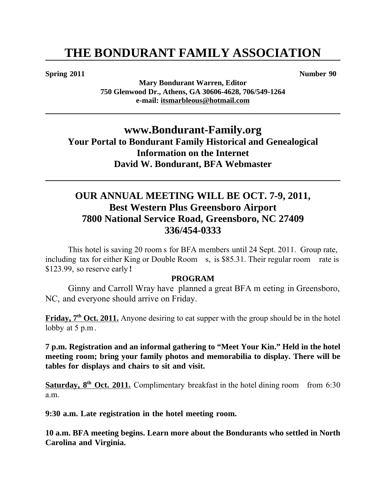#### **Spring 2011** Number 90

**Mary Bondurant Warren, Editor 750 Glenwood Dr., Athens, GA 30606-4628, 706/549-1264 e-mail: itsmarbleous@hotmail.com**

## **www.Bondurant-Family.org Your Portal to Bondurant Family Historical and Genealogical Information on the Internet David W. Bondurant, BFA Webmaster**

## **OUR ANNUAL MEETING WILL BE OCT. 7-9, 2011, Best Western Plus Greensboro Airport 7800 National Service Road, Greensboro, NC 27409 336/454-0333**

This hotel is saving 20 room s for BFA members until 24 Sept. 2011. Group rate, including tax for either King or Double Room s, is \$85.31. Their regular room rate is \$123.99, so reserve early **!**

#### **PROGRAM**

Ginny and Carroll Wray have planned a great BFA m eeting in Greensboro, NC, and everyone should arrive on Friday.

**Friday, 7<sup>th</sup> Oct. 2011.** Anyone desiring to eat supper with the group should be in the hotel lobby at 5 p.m.

**7 p.m. Registration and an informal gathering to "Meet Your Kin." Held in the hotel meeting room; bring your family photos and memorabilia to display. There will be tables for displays and chairs to sit and visit.**

**Saturday, 8<sup>th</sup> Oct. 2011.** Complimentary breakfast in the hotel dining room from 6:30 a.m.

**9:30 a.m. Late registration in the hotel meeting room.** 

**10 a.m. BFA meeting begins. Learn more about the Bondurants who settled in North Carolina and Virginia.**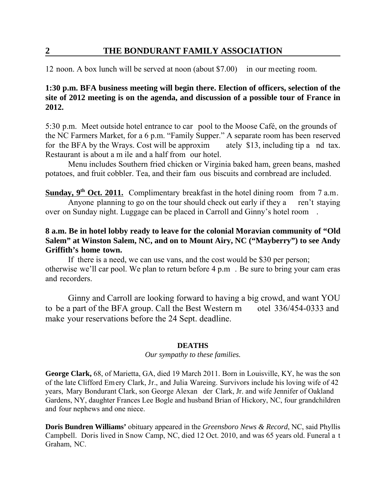12 noon. A box lunch will be served at noon (about \$7.00) in our meeting room.

### **1:30 p.m. BFA business meeting will begin there. Election of officers, selection of the site of 2012 meeting is on the agenda, and discussion of a possible tour of France in 2012.**

5:30 p.m. Meet outside hotel entrance to car pool to the Moose Café, on the grounds of the NC Farmers Market, for a 6 p.m. "Family Supper." A separate room has been reserved for the BFA by the Wrays. Cost will be approxim ately \$13, including tip a nd tax. Restaurant is about a m ile and a half from our hotel.

Menu includes Southern fried chicken or Virginia baked ham, green beans, mashed potatoes, and fruit cobbler. Tea, and their fam ous biscuits and cornbread are included.

**Sunday, 9<sup>th</sup> Oct. 2011.** Complimentary breakfast in the hotel dining room from 7 a.m. Anyone planning to go on the tour should check out early if they a ren't staying over on Sunday night. Luggage can be placed in Carroll and Ginny's hotel room .

### **8 a.m. Be in hotel lobby ready to leave for the colonial Moravian community of "Old Salem" at Winston Salem, NC, and on to Mount Airy, NC ("Mayberry") to see Andy Griffith's home town.**

If there is a need, we can use vans, and the cost would be \$30 per person; otherwise we'll car pool. We plan to return before 4 p.m . Be sure to bring your cam eras and recorders.

Ginny and Carroll are looking forward to having a big crowd, and want YOU to be a part of the BFA group. Call the Best Western m otel 336/454-0333 and make your reservations before the 24 Sept. deadline.

#### **DEATHS**

#### *Our sympathy to these families.*

**George Clark,** 68, of Marietta, GA, died 19 March 2011. Born in Louisville, KY, he was the son of the late Clifford Emery Clark, Jr., and Julia Wareing. Survivors include his loving wife of 42 years, Mary Bondurant Clark, son George Alexan der Clark, Jr. and wife Jennifer of Oakland Gardens, NY, daughter Frances Lee Bogle and husband Brian of Hickory, NC, four grandchildren and four nephews and one niece.

**Doris Bundren Williams'** obituary appeared in the *Greensboro News & Record*, NC, said Phyllis Campbell. Doris lived in Snow Camp, NC, died 12 Oct. 2010, and was 65 years old. Funeral a t Graham, NC.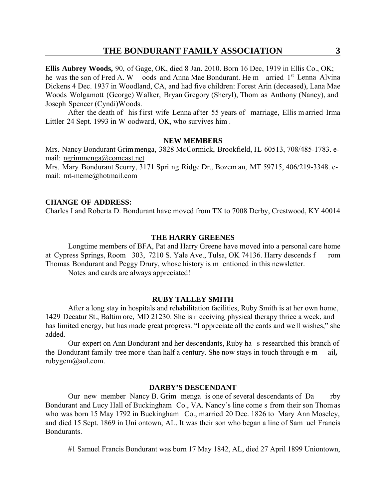**Ellis Aubrey Woods,** 90, of Gage, OK, died 8 Jan. 2010. Born 16 Dec, 1919 in Ellis Co., OK; he was the son of Fred A. W oods and Anna Mae Bondurant. He m arried 1<sup>st</sup> Lenna Alvina Dickens 4 Dec. 1937 in Woodland, CA, and had five children: Forest Arin (deceased), Lana Mae Woods Wolgamott (George) W alker, Bryan Gregory (Sheryl), Thom as Anthony (Nancy), and Joseph Spencer (Cyndi)Woods.

After the death of his first wife Lenna after 55 years of marriage, Ellis married Irma Littler 24 Sept. 1993 in W oodward, OK, who survives him .

#### **NEW MEMBERS**

Mrs. Nancy Bondurant Grim menga, 3828 McCormick, Brookfield, IL 60513, 708/485-1783. email: ngrimmenga@comcast.net

Mrs. Mary Bondurant Scurry, 3171 Spri ng Ridge Dr., Bozem an, MT 59715, 406/219-3348. email: mt-meme@hotmail.com

#### **CHANGE OF ADDRESS:**

Charles I and Roberta D. Bondurant have moved from TX to 7008 Derby, Crestwood, KY 40014

#### **THE HARRY GREENES**

Longtime members of BFA, Pat and Harry Greene have moved into a personal care home at Cypress Springs, Room 303, 7210 S. Yale Ave., Tulsa, OK 74136. Harry descends f rom Thomas Bondurant and Peggy Drury, whose history is m entioned in this newsletter.

Notes and cards are always appreciated!

#### **RUBY TALLEY SMITH**

After a long stay in hospitals and rehabilitation facilities, Ruby Smith is at her own home, 1429 Decatur St., Baltim ore, MD 21230. She is r eceiving physical therapy thrice a week, and has limited energy, but has made great progress. "I appreciate all the cards and well wishes," she added.

Our expert on Ann Bondurant and her descendants, Ruby ha s researched this branch of the Bondurant fam ily tree mor e than half a century. She now stays in touch through e-m ail**,**  rubygem@aol.com.

#### **DARBY'S DESCENDANT**

Our new member Nancy B. Grim menga is one of several descendants of Da rby Bondurant and Lucy Hall of Buckingham Co., VA. Nancy's line come s from their son Thom as who was born 15 May 1792 in Buckingham Co., married 20 Dec. 1826 to Mary Ann Moseley, and died 15 Sept. 1869 in Uni ontown, AL. It was their son who began a line of Sam uel Francis **Bondurants** 

#1 Samuel Francis Bondurant was born 17 May 1842, AL, died 27 April 1899 Uniontown,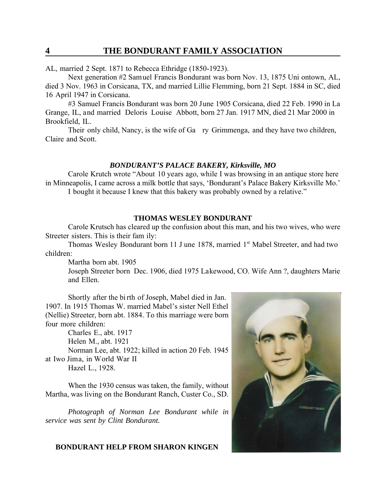AL, married 2 Sept. 1871 to Rebecca Ethridge (1850-1923).

Next generation #2 Samuel Francis Bondurant was born Nov. 13, 1875 Uni ontown, AL, died 3 Nov. 1963 in Corsicana, TX, and married Lillie Flemming, born 21 Sept. 1884 in SC, died 16 April 1947 in Corsicana.

#3 Samuel Francis Bondurant was born 20 June 1905 Corsicana, died 22 Feb. 1990 in La Grange, IL, and married Deloris Louise Abbott, born 27 Jan. 1917 MN, died 21 Mar 2000 in Brookfield, IL.

Their only child, Nancy, is the wife of Ga ry Grimmenga, and they have two children, Claire and Scott.

#### *BONDURANT'S PALACE BAKERY, Kirksville, MO*

Carole Krutch wrote "About 10 years ago, while I was browsing in an antique store here in Minneapolis, I came across a milk bottle that says, 'Bondurant's Palace Bakery Kirksville Mo.' I bought it because I knew that this bakery was probably owned by a relative."

#### **THOMAS WESLEY BONDURANT**

Carole Krutsch has cleared up the confusion about this man, and his two wives, who were Streeter sisters. This is their fam ily:

Thomas Wesley Bondurant born 11 J une 1878, married 1<sup>st</sup> Mabel Streeter, and had two children:

Martha born abt. 1905

Joseph Streeter born Dec. 1906, died 1975 Lakewood, CO. Wife Ann ?, daughters Marie and Ellen.

Shortly after the bi rth of Joseph, Mabel died in Jan. 1907. In 1915 Thomas W. married Mabel's sister Nell Ethel (Nellie) Streeter, born abt. 1884. To this marriage were born four more children:

Charles E., abt. 1917 Helen M., abt. 1921 Norman Lee, abt. 1922; killed in action 20 Feb. 1945 at Iwo Jima, in World War II Hazel L., 1928.

When the 1930 census was taken, the family, without Martha, was living on the Bondurant Ranch, Custer Co., SD.

*Photograph of Norman Lee Bondurant while in service was sent by Clint Bondurant.*

#### **BONDURANT HELP FROM SHARON KINGEN**

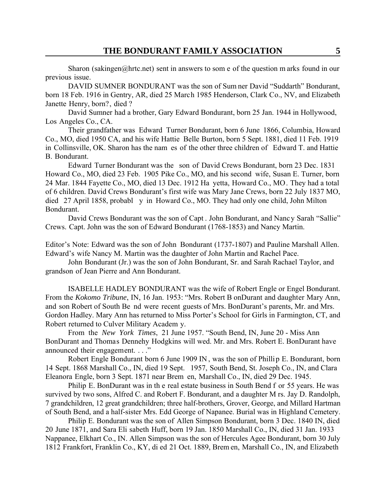Sharon (sakingen@hrtc.net) sent in answers to some of the question m arks found in our previous issue.

DAVID SUMNER BONDURANT was the son of Sum ner David "Suddarth" Bondurant, born 18 Feb. 1916 in Gentry, AR, died 25 March 1985 Henderson, Clark Co., NV, and Elizabeth Janette Henry, born?, died ?

David Sumner had a brother, Gary Edward Bondurant, born 25 Jan. 1944 in Hollywood, Los Angeles Co., CA.

Their grandfather was Edward Turner Bondurant, born 6 June 1866, Columbia, Howard Co., MO, died 1950 CA, and his wife Hattie Belle Burton, born 5 Sept. 1881, died 11 Feb. 1919 in Collinsville, OK. Sharon has the nam es of the other three children of Edward T. and Hattie B. Bondurant.

Edward Turner Bondurant was the son of David Crews Bondurant, born 23 Dec. 1831 Howard Co., MO, died 23 Feb. 1905 Pike Co., MO, and his second wife, Susan E. Turner, born 24 Mar. 1844 Fayette Co., MO, died 13 Dec. 1912 Ha yetta, Howard Co., MO. They had a total of 6 children. David Crews Bondurant's first wife was Mary Jane Crews, born 22 July 1837 MO, died 27 April 1858, probabl y in Howard Co., MO. They had only one child, John Milton Bondurant.

David Crews Bondurant was the son of Capt . John Bondurant, and Nancy Sarah "Sallie" Crews. Capt. John was the son of Edward Bondurant (1768-1853) and Nancy Martin.

Editor's Note: Edward was the son of John Bondurant (1737-1807) and Pauline Marshall Allen. Edward's wife Nancy M. Martin was the daughter of John Martin and Rachel Pace.

John Bondurant (Jr.) was the son of John Bondurant, Sr. and Sarah Rachael Taylor, and grandson of Jean Pierre and Ann Bondurant.

ISABELLE HADLEY BONDURANT was the wife of Robert Engle or Engel Bondurant. From the *Kokomo Tribune*, IN, 16 Jan. 1953: "Mrs. Robert B onDurant and daughter Mary Ann, and son Robert of South Be nd were recent guests of Mrs. BonDurant's parents, Mr. and Mrs. Gordon Hadley. Mary Ann has returned to Miss Porter's School for Girls in Farmington, CT, and Robert returned to Culver Military Academ y.

From the *New York Times*, 21 June 1957. "South Bend, IN, June 20 - Miss Ann BonDurant and Thomas Dennehy Hodgkins will wed. Mr. and Mrs. Robert E. BonDurant have announced their engagement. . . ."

Robert Engle Bondurant born 6 June 1909 IN , was the son of Phillip E. Bondurant, born 14 Sept. 1868 Marshall Co., IN, died 19 Sept. 1957, South Bend, St. Joseph Co., IN, and Clara Eleanora Engle, born 3 Sept. 1871 near Brem en, Marshall Co., IN, died 29 Dec. 1945.

Philip E. BonDurant was in th e real estate business in South Bend f or 55 years. He was survived by two sons, Alfred C. and Robert F. Bondurant, and a daughter M rs. Jay D. Randolph, 7 grandchildren, 12 great grandchildren; three half-brothers, Grover, George, and Millard Hartman of South Bend, and a half-sister Mrs. Edd George of Napanee. Burial was in Highland Cemetery.

Philip E. Bondurant was the son of Allen Simpson Bondurant, born 3 Dec. 1840 IN, died 20 June 1871, and Sara Eli sabeth Huff, born 19 Jan. 1850 Marshall Co., IN, died 31 Jan. 1933 Nappanee, Elkhart Co., IN. Allen Simpson was the son of Hercules Agee Bondurant, born 30 July 1812 Frankfort, Franklin Co., KY, di ed 21 Oct. 1889, Brem en, Marshall Co., IN, and Elizabeth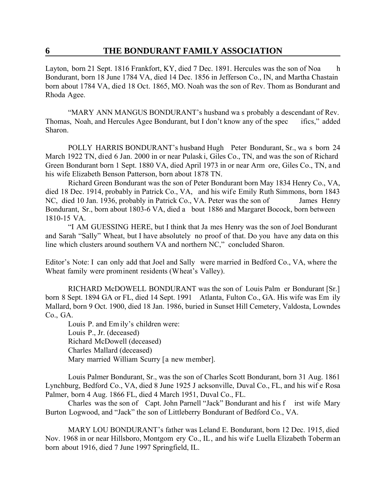Layton, born 21 Sept. 1816 Frankfort, KY, died 7 Dec. 1891. Hercules was the son of Noa h Bondurant, born 18 June 1784 VA, died 14 Dec. 1856 in Jefferson Co., IN, and Martha Chastain born about 1784 VA, died 18 Oct. 1865, MO. Noah was the son of Rev. Thom as Bondurant and Rhoda Agee.

"MARY ANN MANGUS BONDURANT's husband wa s probably a descendant of Rev. Thomas, Noah, and Hercules Agee Bondurant, but I don't know any of the spec ifics," added Sharon.

POLLY HARRIS BONDURANT's husband Hugh Peter Bondurant, Sr., wa s born 24 March 1922 TN, died 6 Jan. 2000 in or near Pulask i, Giles Co., TN, and was the son of Richard Green Bondurant born 1 Sept. 1880 VA, died April 1973 in or near Arm ore, Giles Co., TN, and his wife Elizabeth Benson Patterson, born about 1878 TN.

Richard Green Bondurant was the son of Peter Bondurant born May 1834 Henry Co., VA, died 18 Dec. 1914, probably in Patrick Co., VA, and his wife Emily Ruth Simmons, born 1843 NC, died 10 Jan. 1936, probably in Patrick Co., VA. Peter was the son of James Henry Bondurant, Sr., born about 1803-6 VA, died a bout 1886 and Margaret Bocock, born between 1810-15 VA.

"I AM GUESSING HERE, but I think that Ja mes Henry was the son of Joel Bondurant and Sarah "Sally" Wheat, but I have absolutely no proof of that. Do you have any data on this line which clusters around southern VA and northern NC," concluded Sharon.

Editor's Note: I can only add that Joel and Sally were married in Bedford Co., VA, where the Wheat family were prominent residents (Wheat's Valley).

RICHARD McDOWELL BONDURANT was the son of Louis Palm er Bondurant [Sr.] born 8 Sept. 1894 GA or FL, died 14 Sept. 1991 Atlanta, Fulton Co., GA. His wife was Em ily Mallard, born 9 Oct. 1900, died 18 Jan. 1986, buried in Sunset Hill Cemetery, Valdosta, Lowndes Co., GA.

Louis P. and Em ily's children were: Louis P., Jr. (deceased) Richard McDowell (deceased) Charles Mallard (deceased) Mary married William Scurry [a new member].

Louis Palmer Bondurant, Sr., was the son of Charles Scott Bondurant, born 31 Aug. 1861 Lynchburg, Bedford Co., VA, died 8 June 1925 J acksonville, Duval Co., FL, and his wif e Rosa Palmer, born 4 Aug. 1866 FL, died 4 March 1951, Duval Co., FL.

Charles was the son of Capt. John Parnell "Jack" Bondurant and his f irst wife Mary Burton Logwood, and "Jack" the son of Littleberry Bondurant of Bedford Co., VA.

MARY LOU BONDURANT's father was Leland E. Bondurant, born 12 Dec. 1915, died Nov. 1968 in or near Hillsboro, Montgom ery Co., IL, and his wif e Luella Elizabeth Toberm an born about 1916, died 7 June 1997 Springfield, IL.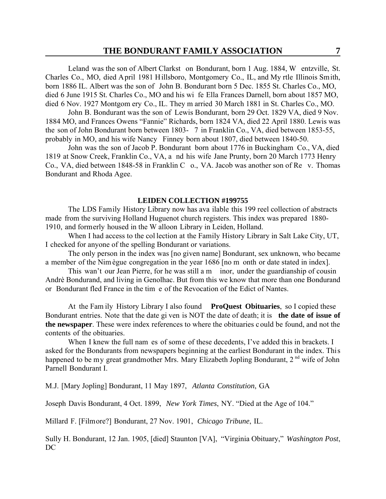Leland was the son of Albert Clarkst on Bondurant, born 1 Aug. 1884, W entzville, St. Charles Co., MO, died April 1981 Hillsboro, Montgomery Co., IL, and My rtle Illinois Smith, born 1886 IL. Albert was the son of John B. Bondurant born 5 Dec. 1855 St. Charles Co., MO, died 6 June 1915 St. Charles Co., MO and his wi fe Ella Frances Darnell, born about 1857 MO, died 6 Nov. 1927 Montgom ery Co., IL. They m arried 30 March 1881 in St. Charles Co., MO.

John B. Bondurant was the son of Lewis Bondurant, born 29 Oct. 1829 VA, died 9 Nov. 1884 MO, and Frances Owens "Fannie" Richards, born 1824 VA, died 22 April 1880. Lewis was the son of John Bondurant born between 1803- 7 in Franklin Co., VA, died between 1853-55, probably in MO, and his wife Nancy Finney born about 1807, died between 1840-50.

John was the son of Jacob P. Bondurant born about 1776 in Buckingham Co., VA, died 1819 at Snow Creek, Franklin Co., VA, a nd his wife Jane Prunty, born 20 March 1773 Henry Co., VA, died between 1848-58 in Franklin C o., VA. Jacob was another son of Re v. Thomas Bondurant and Rhoda Agee.

#### **LEIDEN COLLECTION #199755**

The LDS Family History Library now has ava ilable this 199 reel collection of abstracts made from the surviving Holland Huguenot church registers. This index was prepared 1880- 1910, and formerly housed in the W alloon Library in Leiden, Holland.

When I had access to the col lection at the Family History Library in Salt Lake City, UT, I checked for anyone of the spelling Bondurant or variations.

The only person in the index was [no given name] Bondurant, sex unknown, who became a member of the Nim ègue congregation in the year 1686 [no m onth or date stated in index].

This wan't our Jean Pierre, for he was still a m inor, under the guardianship of cousin Andrè Bondurand, and living in Genolhac. But from this we know that more than one Bondurand or Bondurant fled France in the tim e of the Revocation of the Edict of Nantes.

At the Fam ily History Library I also found **ProQuest Obituaries**, so I copied these Bondurant entries. Note that the date gi ven is NOT the date of death; it is **the date of issue of the newspaper**. These were index references to where the obituaries could be found, and not the contents of the obituaries.

When I knew the full nam es of some of these decedents, I've added this in brackets. I asked for the Bondurants from newspapers beginning at the earliest Bondurant in the index. This happened to be my great grandmother Mrs. Mary Elizabeth Jopling Bondurant, 2<sup>nd</sup> wife of John Parnell Bondurant I.

M.J. [Mary Jopling] Bondurant, 11 May 1897, *Atlanta Constitution*, GA

Joseph Davis Bondurant, 4 Oct. 1899, *New York Times*, NY. "Died at the Age of 104."

Millard F. [Filmore?] Bondurant, 27 Nov. 1901, *Chicago Tribune*, IL.

Sully H. Bondurant, 12 Jan. 1905, [died] Staunton [VA], "Virginia Obituary," *Washington Post*, DC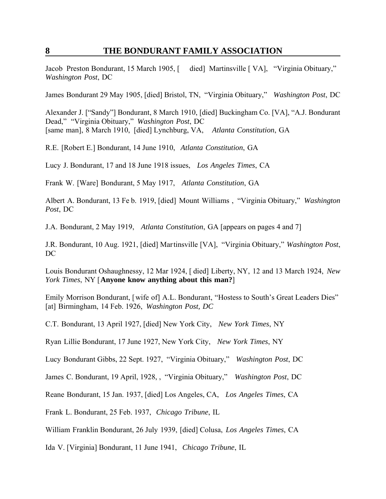Jacob Preston Bondurant, 15 March 1905, [ died] Martinsville [ VA], "Virginia Obituary," *Washington Post*, DC

James Bondurant 29 May 1905, [died] Bristol, TN, "Virginia Obituary," *Washington Post*, DC

Alexander J. ["Sandy"] Bondurant, 8 March 1910, [died] Buckingham Co. [VA], "A.J. Bondurant Dead," "Virginia Obituary," *Washington Post*, DC [same man], 8 March 1910, [died] Lynchburg, VA, *Atlanta Constitution*, GA

R.E. [Robert E.] Bondurant, 14 June 1910, *Atlanta Constitution*, GA

Lucy J. Bondurant, 17 and 18 June 1918 issues, *Los Angeles Times*, CA

Frank W. [Ware] Bondurant, 5 May 1917, *Atlanta Constitution*, GA

Albert A. Bondurant, 13 Fe b. 1919, [died] Mount Williams , "Virginia Obituary," *Washington Post*, DC

J.A. Bondurant, 2 May 1919, *Atlanta Constitution*, GA [appears on pages 4 and 7]

J.R. Bondurant, 10 Aug. 1921, [died] Martinsville [VA], "Virginia Obituary," *Washington Post*, DC

Louis Bondurant Oshaughnessy, 12 Mar 1924, [ died] Liberty, NY, 12 and 13 March 1924, *New York Times*, NY [**Anyone know anything about this man?**]

Emily Morrison Bondurant, [wife of] A.L. Bondurant, "Hostess to South's Great Leaders Dies" [at] Birmingham, 14 Feb. 1926, *Washington Post, DC*

C.T. Bondurant, 13 April 1927, [died] New York City, *New York Times*, NY

Ryan Lillie Bondurant, 17 June 1927, New York City, *New York Times*, NY

Lucy Bondurant Gibbs, 22 Sept. 1927, "Virginia Obituary," *Washington Post*, DC

James C. Bondurant, 19 April, 1928, , "Virginia Obituary," *Washington Post*, DC

Reane Bondurant, 15 Jan. 1937, [died] Los Angeles, CA, *Los Angeles Times*, CA

Frank L. Bondurant, 25 Feb. 1937, *Chicago Tribune*, IL

William Franklin Bondurant, 26 July 1939, [died] Colusa, *Los Angeles Times*, CA

Ida V. [Virginia] Bondurant, 11 June 1941, *Chicago Tribune*, IL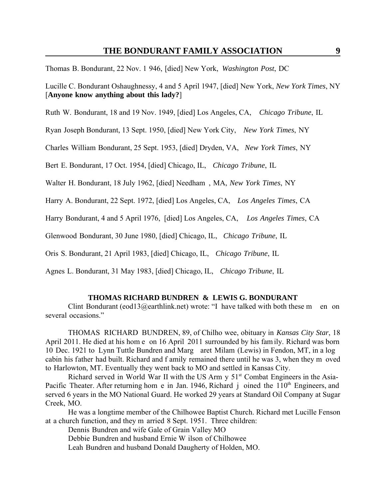Thomas B. Bondurant, 22 Nov. 1 946, [died] New York, *Washington Post*, DC

Lucille C. Bondurant Oshaughnessy, 4 and 5 April 1947, [died] New York, *New York Times*, NY [**Anyone know anything about this lady?**]

Ruth W. Bondurant, 18 and 19 Nov. 1949, [died] Los Angeles, CA, *Chicago Tribune*, IL

Ryan Joseph Bondurant, 13 Sept. 1950, [died] New York City, *New York Times*, NY

Charles William Bondurant, 25 Sept. 1953, [died] Dryden, VA, *New York Times*, NY

Bert E. Bondurant, 17 Oct. 1954, [died] Chicago, IL, *Chicago Tribune*, IL

Walter H. Bondurant, 18 July 1962, [died] Needham , MA, *New York Times*, NY

Harry A. Bondurant, 22 Sept. 1972, [died] Los Angeles, CA, *Los Angeles Times*, CA

Harry Bondurant, 4 and 5 April 1976, [died] Los Angeles, CA, *Los Angeles Times*, CA

Glenwood Bondurant, 30 June 1980, [died] Chicago, IL, *Chicago Tribune*, IL

Oris S. Bondurant, 21 April 1983, [died] Chicago, IL, *Chicago Tribune*, IL

Agnes L. Bondurant, 31 May 1983, [died] Chicago, IL, *Chicago Tribune*, IL

#### **THOMAS RICHARD BUNDREN & LEWIS G. BONDURANT**

Clint Bondurant (eod13@earthlink.net) wrote: "I have talked with both these m en on several occasions."

THOMAS RICHARD BUNDREN, 89, of Chilho wee, obituary in *Kansas City Star*, 18 April 2011. He died at his hom e on 16 April 2011 surrounded by his fam ily. Richard was born 10 Dec. 1921 to Lynn Tuttle Bundren and Marg aret Milam (Lewis) in Fendon, MT, in a log cabin his father had built. Richard and f amily remained there until he was 3, when they m oved to Harlowton, MT. Eventually they went back to MO and settled in Kansas City.

Richard served in World War II with the US Arm  $y$  51<sup>st</sup> Combat Engineers in the Asia-Pacific Theater. After returning hom e in Jan. 1946, Richard i oined the  $110<sup>th</sup>$  Engineers, and served 6 years in the MO National Guard. He worked 29 years at Standard Oil Company at Sugar Creek, MO.

He was a longtime member of the Chilhowee Baptist Church. Richard met Lucille Fenson at a church function, and they m arried 8 Sept. 1951. Three children:

Dennis Bundren and wife Gale of Grain Valley MO

Debbie Bundren and husband Ernie W ilson of Chilhowee

Leah Bundren and husband Donald Daugherty of Holden, MO.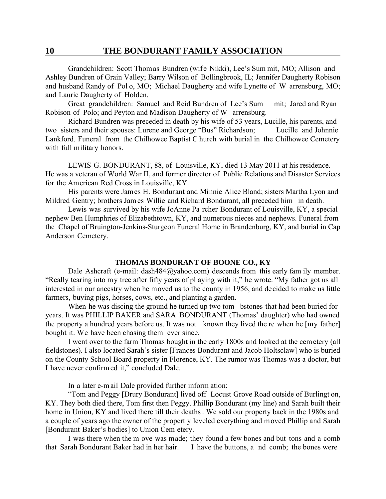Grandchildren: Scott Thomas Bundren (wife Nikki), Lee's Sum mit, MO; Allison and Ashley Bundren of Grain Valley; Barry Wilson of Bollingbrook, IL; Jennifer Daugherty Robison and husband Randy of Pol o, MO; Michael Daugherty and wife Lynette of W arrensburg, MO; and Laurie Daugherty of Holden.

Great grandchildren: Samuel and Reid Bundren of Lee's Sum mit; Jared and Ryan Robison of Polo; and Peyton and Madison Daugherty of W arrensburg.

Richard Bundren was preceded in death by his wife of 53 years, Lucille, his parents, and two sisters and their spouses: Lurene and George "Bus" Richardson; Lucille and Johnnie Lankford. Funeral from the Chilhowee Baptist C hurch with burial in the Chilhowee Cemetery with full military honors.

LEWIS G. BONDURANT, 88, of Louisville, KY, died 13 May 2011 at his residence. He was a veteran of World War II, and former director of Public Relations and Disaster Services for the American Red Cross in Louisville, KY.

His parents were James H. Bondurant and Minnie Alice Bland; sisters Martha Lyon and Mildred Gentry; brothers Jam es Willie and Richard Bondurant, all preceded him in death.

Lewis was survived by his wife JoAnne Pa rcher Bondurant of Louisville, KY, a special nephew Ben Humphries of Elizabethtown, KY, and numerous nieces and nephews. Funeral from the Chapel of Bruington-Jenkins-Sturgeon Funeral Home in Brandenburg, KY, and burial in Cap Anderson Cemetery.

#### **THOMAS BONDURANT OF BOONE CO., KY**

Dale Ashcraft (e-mail: dash484@yahoo.com) descends from this early fam ily member. "Really tearing into my tree after fifty years of pl aying with it," he wrote. "My father got us all interested in our ancestry when he moved us to the county in 1956, and decided to make us little farmers, buying pigs, horses, cows, etc., and planting a garden.

When he was discing the ground he turned up two tom bstones that had been buried for years. It was PHILLIP BAKER and SARA BONDURANT (Thomas' daughter) who had owned the property a hundred years before us. It was not known they lived the re when he [my father] bought it. We have been chasing them ever since.

I went over to the farm Thomas bought in the early 1800s and looked at the cemetery (all fieldstones). I also located Sarah's sister [Frances Bondurant and Jacob Holtsclaw] who is buried on the County School Board property in Florence, KY. The rumor was Thomas was a doctor, but I have never confirm ed it," concluded Dale.

In a later e-m ail Dale provided further inform ation:

"Tom and Peggy [Drury Bondurant] lived off Locust Grove Road outside of Burlingt on, KY. They both died there, Tom first then Peggy. Phillip Bondurant (my line) and Sarah built their home in Union, KY and lived there till their deaths. We sold our property back in the 1980s and a couple of years ago the owner of the propert y leveled everything and moved Phillip and Sarah [Bondurant Baker's bodies] to Union Cem etery.

I was there when the m ove was made; they found a few bones and but tons and a comb that Sarah Bondurant Baker had in her hair. I have the buttons, a nd comb; the bones were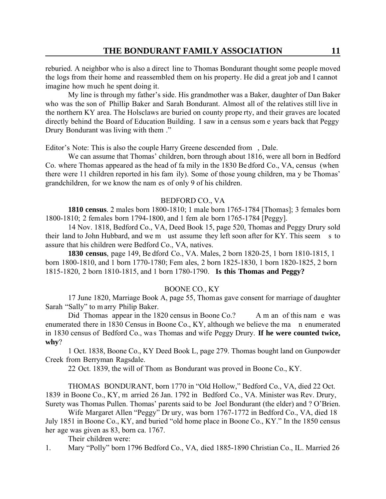reburied. A neighbor who is also a direct line to Thomas Bondurant thought some people moved the logs from their home and reassembled them on his property. He did a great job and I cannot imagine how much he spent doing it.

My line is through my father's side. His grandmother was a Baker, daughter of Dan Baker who was the son of Phillip Baker and Sarah Bondurant. Almost all of the relatives still live in the northern KY area. The Holsclaws are buried on county prope rty, and their graves are located directly behind the Board of Education Building. I saw in a census som e years back that Peggy Drury Bondurant was living with them ."

Editor's Note: This is also the couple Harry Greene descended from , Dale.

We can assume that Thomas' children, born through about 1816, were all born in Bedford Co. where Thomas appeared as the head of fa mily in the 1830 Be dford Co., VA, census (when there were 11 children reported in his fam ily). Some of those young children, ma y be Thomas' grandchildren, for we know the nam es of only 9 of his children.

#### BEDFORD CO., VA

**1810 census**. 2 males born 1800-1810; 1 male born 1765-1784 [Thomas]; 3 females born 1800-1810; 2 females born 1794-1800, and 1 fem ale born 1765-1784 [Peggy].

14 Nov. 1818, Bedford Co., VA, Deed Book 15, page 520, Thomas and Peggy Drury sold their land to John Hubbard, and we m ust assume they left soon after for KY. This seem s to assure that his children were Bedford Co., VA, natives.

**1830 census**, page 149, Be dford Co., VA. Males, 2 born 1820-25, 1 born 1810-1815, 1 born 1800-1810, and 1 born 1770-1780; Fem ales, 2 born 1825-1830, 1 born 1820-1825, 2 born 1815-1820, 2 born 1810-1815, and 1 born 1780-1790. **Is this Thomas and Peggy?**

#### BOONE CO., KY

17 June 1820, Marriage Book A, page 55, Thomas gave consent for marriage of daughter Sarah "Sally" to m arry Philip Baker.

Did Thomas appear in the 1820 census in Boone Co.? A m an of this nam e was enumerated there in 1830 Census in Boone Co., KY, although we believe the ma n enumerated in 1830 census of Bedford Co., was Thomas and wife Peggy Drury. **If he were counted twice, why**?

1 Oct. 1838, Boone Co., KY Deed Book L, page 279. Thomas bought land on Gunpowder Creek from Berryman Ragsdale.

22 Oct. 1839, the will of Thom as Bondurant was proved in Boone Co., KY.

THOMAS BONDURANT, born 1770 in "Old Hollow," Bedford Co., VA, died 22 Oct. 1839 in Boone Co., KY, m arried 26 Jan. 1792 in Bedford Co., VA. Minister was Rev. Drury, Surety was Thomas Pullen. Thomas' parents said to be Joel Bondurant (the elder) and ? O'Brien.

Wife Margaret Allen "Peggy" Dr ury, was born 1767-1772 in Bedford Co., VA, died 18 July 1851 in Boone Co., KY, and buried "old home place in Boone Co., KY." In the 1850 census her age was given as 83, born ca. 1767.

Their children were:

1. Mary "Polly" born 1796 Bedford Co., VA, died 1885-1890 Christian Co., IL. Married 26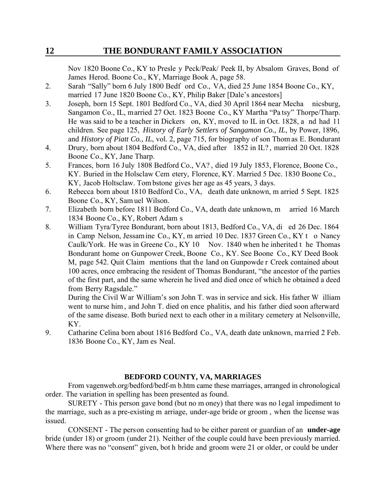Nov 1820 Boone Co., KY to Presle y Peck/Peak/ Peek II, by Absalom Graves, Bond of James Herod. Boone Co., KY, Marriage Book A, page 58.

- 2. Sarah "Sally" born 6 July 1800 Bedf ord Co., VA, died 25 June 1854 Boone Co., KY, married 17 June 1820 Boone Co., KY, Philip Baker [Dale's ancestors]
- 3. Joseph, born 15 Sept. 1801 Bedford Co., VA, died 30 April 1864 near Mecha nicsburg, Sangamon Co., IL, married 27 Oct. 1823 Boone Co., KY Martha "Pa tsy" Thorpe/Tharp. He was said to be a teacher in Dickers on, KY, moved to IL in Oct. 1828, a nd had 11 children. See page 125, *History of Early Settlers of Sangamon Co., IL*, by Power, 1896, and *History of Piatt Co., IL*, vol. 2, page 715, for biography of son Thom as E. Bondurant
- 4. Drury, born about 1804 Bedford Co., VA, died after 1852 in IL? , married 20 Oct. 1828 Boone Co., KY, Jane Tharp.
- 5. Frances, born 16 July 1808 Bedford Co., VA? , died 19 July 1853, Florence, Boone Co., KY. Buried in the Holsclaw Cem etery, Florence, KY. Married 5 Dec. 1830 Boone Co., KY, Jacob Holtsclaw. Tom bstone gives her age as 45 years, 3 days.
- 6. Rebecca born about 1810 Bedford Co., VA, death date unknown, m arried 5 Sept. 1825 Boone Co., KY, Sam uel Wilson.
- 7. Elizabeth born before 1811 Bedford Co., VA, death date unknown, m arried 16 March 1834 Boone Co., KY, Robert Adam s
- 8. William Tyra/Tyree Bondurant, born about 1813, Bedford Co., VA, di ed 26 Dec. 1864 in Camp Nelson, Jessam ine Co., KY, m arried 10 Dec. 1837 Green Co., KY t o Nancy Caulk/York. He was in Greene Co., KY 10 Nov. 1840 when he inherited t he Thomas Bondurant home on Gunpower Creek, Boone Co., KY. See Boone Co., KY Deed Book M, page 542. Quit Claim mentions that the land on Gunpowde r Creek contained about 100 acres, once embracing the resident of Thomas Bondurant, "the ancestor of the parties of the first part, and the same wherein he lived and died once of which he obtained a deed from Berry Ragsdale."

During the Civil War William's son John T. was in service and sick. His father W illiam went to nurse him , and John T. died on ence phalitis, and his father died soon afterward of the same disease. Both buried next to each other in a military cemetery at Nelsonville, KY.

9. Catharine Celina born about 1816 Bedford Co., VA, death date unknown, married 2 Feb. 1836 Boone Co., KY, Jam es Neal.

### **BEDFORD COUNTY, VA, MARRIAGES**

From vagenweb.org/bedford/bedf-m b.htm came these marriages, arranged in chronological order. The variation in spelling has been presented as found.

SURETY - This person gave bond (but no m oney) that there was no legal impediment to the marriage, such as a pre-existing m arriage, under-age bride or groom , when the license was issued.

CONSENT - The person consenting had to be either parent or guardian of an **under-age** bride (under 18) or groom (under 21). Neither of the couple could have been previously married. Where there was no "consent" given, bot h bride and groom were 21 or older, or could be under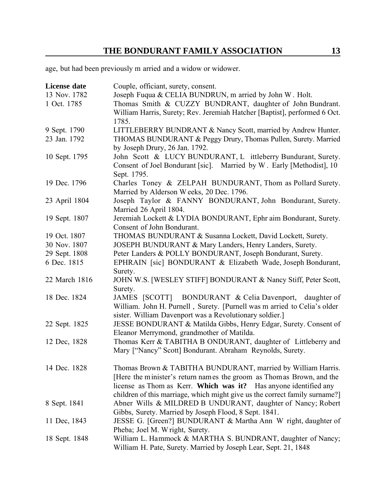age, but had been previously m arried and a widow or widower.

| <b>License date</b> | Couple, officiant, surety, consent.                                         |
|---------------------|-----------------------------------------------------------------------------|
| 13 Nov. 1782        | Joseph Fuqua & CELIA BUNDRUN, m arried by John W. Holt.                     |
| 1 Oct. 1785         | Thomas Smith & CUZZY BUNDRANT, daughter of John Bundrant.                   |
|                     | William Harris, Surety; Rev. Jeremiah Hatcher [Baptist], performed 6 Oct.   |
|                     | 1785.                                                                       |
| 9 Sept. 1790        | LITTLEBERRY BUNDRANT & Nancy Scott, married by Andrew Hunter.               |
| 23 Jan. 1792        | THOMAS BUNDURANT & Peggy Drury, Thomas Pullen, Surety. Married              |
|                     | by Joseph Drury, 26 Jan. 1792.                                              |
| 10 Sept. 1795       | John Scott & LUCY BUNDURANT, L ittleberry Bundurant, Surety.                |
|                     | Consent of Joel Bondurant [sic]. Married by W. Early [Methodist], 10        |
|                     | Sept. 1795.                                                                 |
| 19 Dec. 1796        | Charles Toney & ZELPAH BUNDURANT, Thom as Pollard Surety.                   |
|                     | Married by Alderson Weeks, 20 Dec. 1796.                                    |
| 23 April 1804       | Joseph Taylor & FANNY BONDURANT, John Bondurant, Surety.                    |
|                     | Married 26 April 1804.                                                      |
| 19 Sept. 1807       | Jeremiah Lockett & LYDIA BONDURANT, Ephr aim Bondurant, Surety.             |
|                     | Consent of John Bondurant.                                                  |
| 19 Oct. 1807        | THOMAS BUNDURANT & Susanna Lockett, David Lockett, Surety.                  |
| 30 Nov. 1807        | JOSEPH BUNDURANT & Mary Landers, Henry Landers, Surety.                     |
| 29 Sept. 1808       | Peter Landers & POLLY BONDURANT, Joseph Bondurant, Surety.                  |
| 6 Dec. 1815         | EPHRAIN [sic] BONDURANT & Elizabeth Wade, Joseph Bondurant,                 |
|                     | Surety.                                                                     |
| 22 March 1816       | JOHN W.S. [WESLEY STIFF] BONDURANT & Nancy Stiff, Peter Scott,              |
|                     | Surety.                                                                     |
| 18 Dec. 1824        | BONDURANT & Celia Davenport, daughter of<br>JAMES [SCOTT]                   |
|                     | William. John H. Purnell, Surety. [Purnell was m arried to Celia's older    |
|                     | sister. William Davenport was a Revolutionary soldier.]                     |
| 22 Sept. 1825       | JESSE BONDURANT & Matilda Gibbs, Henry Edgar, Surety. Consent of            |
|                     | Eleanor Merrymond, grandmother of Matilda.                                  |
| 12 Dec, 1828        | Thomas Kerr & TABITHA B ONDURANT, daughter of Littleberry and               |
|                     | Mary ["Nancy" Scott] Bondurant. Abraham Reynolds, Surety.                   |
|                     |                                                                             |
| 14 Dec. 1828        | Thomas Brown & TABITHA BUNDURANT, married by William Harris.                |
|                     | [Here the minister's return names the groom as Thomas Brown, and the        |
|                     | license as Thom as Kerr. Which was it? Has anyone identified any            |
|                     | children of this marriage, which might give us the correct family surname?] |
| 8 Sept. 1841        | Abner Wills & MILDRED B UNDURANT, daughter of Nancy; Robert                 |
|                     | Gibbs, Surety. Married by Joseph Flood, 8 Sept. 1841.                       |
| 11 Dec, 1843        | JESSE G. [Green?] BUNDURANT & Martha Ann W right, daughter of               |
|                     | Pheba; Joel M. Wright, Surety.                                              |
| 18 Sept. 1848       | William L. Hammock & MARTHA S. BUNDRANT, daughter of Nancy;                 |
|                     | William H. Pate, Surety. Married by Joseph Lear, Sept. 21, 1848             |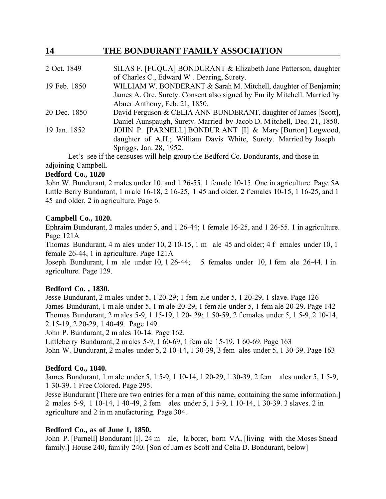| 2 Oct. 1849  | SILAS F. [FUQUA] BONDURANT & Elizabeth Jane Patterson, daughter                        |
|--------------|----------------------------------------------------------------------------------------|
|              | of Charles C., Edward W. Dearing, Surety.                                              |
| 19 Feb. 1850 | WILLIAM W. BONDERANT & Sarah M. Mitchell, daughter of Benjamin;                        |
|              | James A. Ore, Surety. Consent also signed by Em ily Mitchell. Married by               |
|              | Abner Anthony, Feb. 21, 1850.                                                          |
| 20 Dec. 1850 | David Ferguson & CELIA ANN BUNDERANT, daughter of James [Scott],                       |
|              | Daniel Aunspaugh, Surety. Married by Jacob D. Mitchell, Dec. 21, 1850.                 |
| 19 Jan. 1852 | JOHN P. [PARNELL] BONDUR ANT [I] & Mary [Burton] Logwood,                              |
|              | daughter of A.H.; William Davis White, Surety. Married by Joseph                       |
|              | Spriggs, Jan. 28, 1952.                                                                |
|              | Let's see if the censuses will beln group the Redford $\alpha$ Rondurants and those in |

Let's see if the censuses will help group the Bedford Co. Bondurants, and those in adjoining Campbell.

### **Bedford Co., 1820**

John W. Bundurant, 2 males under 10, and 1 26-55, 1 female 10-15. One in agriculture. Page 5A Little Berry Bundurant, 1 m ale 16-18, 2 16-25, 1 45 and older, 2 f emales 10-15, 1 16-25, and 1 45 and older. 2 in agriculture. Page 6.

### **Campbell Co., 1820.**

Ephraim Bundurant, 2 males under 5, and 1 26-44; 1 female 16-25, and 1 26-55. 1 in agriculture. Page 121A

Thomas Bundurant, 4 m ales under 10, 2 10-15, 1 m ale 45 and older; 4 f emales under 10, 1 female 26-44, 1 in agriculture. Page 121A

Joseph Bundurant, 1 m ale under 10, 1 26-44; 5 females under 10, 1 fem ale 26-44. 1 in agriculture. Page 129.

### **Bedford Co. , 1830.**

Jesse Bundurant, 2 m ales under 5, 1 20-29; 1 fem ale under 5, 1 20-29, 1 slave. Page 126 James Bundurant, 1 m ale under 5, 1 m ale 20-29, 1 fem ale under 5, 1 fem ale 20-29. Page 142 Thomas Bundurant, 2 m ales 5-9, 1 15-19, 1 20- 29; 1 50-59, 2 f emales under 5, 1 5-9, 2 10-14, 2 15-19, 2 20-29, 1 40-49. Page 149.

John P. Bundurant, 2 m ales 10-14. Page 162.

Littleberry Bundurant, 2 m ales 5-9, 1 60-69, 1 fem ale 15-19, 1 60-69. Page 163 John W. Bundurant, 2 m ales under 5, 2 10-14, 1 30-39, 3 fem ales under 5, 1 30-39. Page 163

### **Bedford Co., 1840.**

James Bundurant, 1 m ale under 5, 1 5-9, 1 10-14, 1 20-29, 1 30-39, 2 fem ales under 5, 1 5-9, 1 30-39. 1 Free Colored. Page 295.

Jesse Bundurant [There are two entries for a man of this name, containing the same information.] 2 males 5-9, 1 10-14, 1 40-49, 2 fem ales under 5, 1 5-9, 1 10-14, 1 30-39. 3 slaves. 2 in agriculture and 2 in m anufacturing. Page 304.

### **Bedford Co., as of June 1, 1850.**

John P. [Parnell] Bondurant [I], 24 m ale, la borer, born VA, [living with the Moses Snead family.] House 240, fam ily 240. [Son of Jam es Scott and Celia D. Bondurant, below]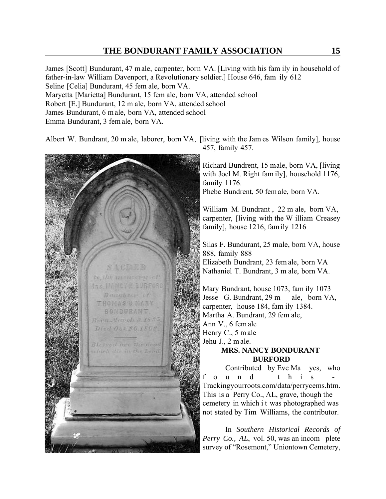James [Scott] Bundurant, 47 male, carpenter, born VA. [Living with his fam ily in household of father-in-law William Davenport, a Revolutionary soldier.] House 646, fam ily 612 Seline [Celia] Bundurant, 45 fem ale, born VA. Maryetta [Marietta] Bundurant, 15 fem ale, born VA, attended school Robert [E.] Bundurant, 12 m ale, born VA, attended school James Bundurant, 6 m ale, born VA, attended school Emma Bundurant, 3 fem ale, born VA.

Albert W. Bundrant, 20 m ale, laborer, born VA, [living with the Jam es Wilson family], house 457, family 457.



Richard Bundrent, 15 male, born VA, [living with Joel M. Right fam ily], household 1176, family 1176.

Phebe Bundrent, 50 fem ale, born VA.

William M. Bundrant , 22 m ale, born VA, carpenter, [living with the W illiam Creasey family], house 1216, fam ily 1216

Silas F. Bundurant, 25 male, born VA, house 888, family 888 Elizabeth Bundrant, 23 fem ale, born VA Nathaniel T. Bundrant, 3 m ale, born VA.

Mary Bundrant, house 1073, fam ily 1073 Jesse G. Bundrant, 29 m ale, born VA, carpenter, house 184, fam ily 1384. Martha A. Bundrant, 29 fem ale, Ann V., 6 fem ale Henry C., 5 m ale Jehu J., 2 m ale.

### **MRS. NANCY BONDURANT BURFORD**

Contributed by Eve Ma yes, who ound this Trackingyourroots.com/data/perrycems.htm. This is a Perry Co., AL, grave, though the cemetery in which i t was photographed was not stated by Tim Williams, the contributor.

In *Southern Historical Records of Perry Co., AL*, vol. 50, was an incom plete survey of "Rosemont," Uniontown Cemetery,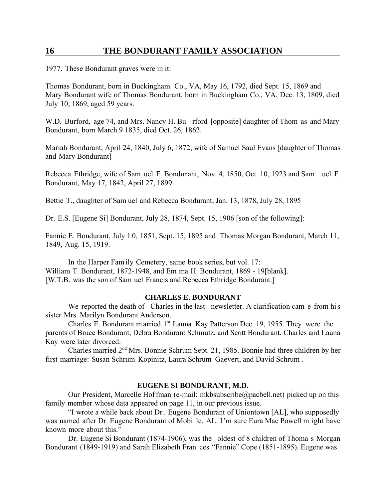1977. These Bondurant graves were in it:

Thomas Bondurant, born in Buckingham Co., VA, May 16, 1792, died Sept. 15, 1869 and Mary Bondurant wife of Thomas Bondurant, born in Buckingham Co., VA, Dec. 13, 1809, died July 10, 1869, aged 59 years.

W.D. Burford, age 74, and Mrs. Nancy H. Bu rford [opposite] daughter of Thom as and Mary Bondurant, born March 9 1835, died Oct. 26, 1862.

Mariah Bondurant, April 24, 1840, July 6, 1872, wife of Samuel Saul Evans [daughter of Thomas and Mary Bondurant]

Rebecca Ethridge, wife of Sam uel F. Bondur ant, Nov. 4, 1850, Oct. 10, 1923 and Sam uel F. Bondurant, May 17, 1842, April 27, 1899.

Bettie T., daughter of Sam uel and Rebecca Bondurant, Jan. 13, 1878, July 28, 1895

Dr. E.S. [Eugene Si] Bondurant, July 28, 1874, Sept. 15, 1906 [son of the following]:

Fannie E. Bondurant, July 1 0, 1851, Sept. 15, 1895 and Thomas Morgan Bondurant, March 11, 1849, Aug. 15, 1919.

In the Harper Fam ily Cemetery, same book series, but vol. 17: William T. Bondurant, 1872-1948, and Em ma H. Bondurant, 1869 - 19[blank]. [W.T.B. was the son of Sam uel Francis and Rebecca Ethridge Bondurant.]

#### **CHARLES E. BONDURANT**

We reported the death of Charles in the last newsletter. A clarification cam e from his sister Mrs. Marilyn Bondurant Anderson.

Charles E. Bondurant m arried  $1<sup>st</sup>$  Launa Kay Patterson Dec. 19, 1955. They were the parents of Bruce Bondurant, Debra Bondurant Schmutz, and Scott Bondurant. Charles and Launa Kay were later divorced.

Charles married 2nd Mrs. Bonnie Schrum Sept. 21, 1985. Bonnie had three children by her first marriage: Susan Schrum Kopinitz, Laura Schrum Gaevert, and David Schrum .

#### **EUGENE SI BONDURANT, M.D.**

Our President, Marcelle Hoffman (e-mail: mkbsubscribe@pacbell.net) picked up on this family member whose data appeared on page 11, in our previous issue.

"I wrote a while back about Dr . Eugene Bondurant of Uniontown [AL], who supposedly was named after Dr. Eugene Bondurant of Mobi le, AL. I'm sure Eura Mae Powell m ight have known more about this."

Dr. Eugene Si Bondurant (1874-1906), was the oldest of 8 children of Thoma s Morgan Bondurant (1849-1919) and Sarah Elizabeth Fran ces "Fannie" Cope (1851-1895). Eugene was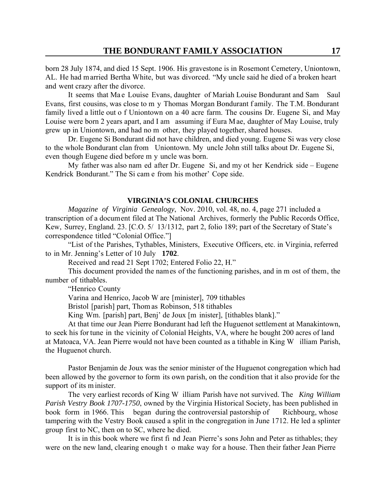born 28 July 1874, and died 15 Sept. 1906. His gravestone is in Rosemont Cemetery, Uniontown, AL. He had married Bertha White, but was divorced. "My uncle said he died of a broken heart and went crazy after the divorce.

It seems that Ma e Louise Evans, daughter of Mariah Louise Bondurant and Sam Saul Evans, first cousins, was close to m y Thomas Morgan Bondurant f amily. The T.M. Bondurant family lived a little out o f Uniontown on a 40 acre farm. The cousins Dr. Eugene Si, and May Louise were born 2 years apart, and I am assuming if Eura Mae, daughter of May Louise, truly grew up in Uniontown, and had no m other, they played together, shared houses.

Dr. Eugene Si Bondurant did not have children, and died young. Eugene Si was very close to the whole Bondurant clan from Uniontown. My uncle John still talks about Dr. Eugene Si, even though Eugene died before m y uncle was born.

My father was also nam ed after Dr. Eugene Si, and my ot her Kendrick side – Eugene Kendrick Bondurant." The Si cam e from his mother' Cope side.

#### **VIRGINIA'S COLONIAL CHURCHES**

*Magazine of Virginia Genealogy*, Nov. 2010, vol. 48, no. 4, page 271 included a transcription of a document filed at The National Archives, formerly the Public Records Office, Kew, Surrey, England. 23. [C.O. 5/ 13/1312, part 2, folio 189; part of the Secretary of State's correspondence titled "Colonial Office."]

"List of the Parishes, Tythables, Ministers, Executive Officers, etc. in Virginia, referred to in Mr. Jenning's Letter of 10 July **1702**.

Received and read 21 Sept 1702; Entered Folio 22, H."

This document provided the names of the functioning parishes, and in m ost of them, the number of tithables.

"Henrico County

Varina and Henrico, Jacob W are [minister], 709 tithables

Bristol [parish] part, Thom as Robinson, 518 tithables

King Wm. [parish] part, Benj' de Joux [m inister], [tithables blank]."

At that time our Jean Pierre Bondurant had left the Huguenot settlement at Manakintown, to seek his for tune in the vicinity of Colonial Heights, VA, where he bought 200 acres of land at Matoaca, VA. Jean Pierre would not have been counted as a tithable in King W illiam Parish, the Huguenot church.

Pastor Benjamin de Joux was the senior minister of the Huguenot congregation which had been allowed by the governor to form its own parish, on the condition that it also provide for the support of its m inister.

The very earliest records of King W illiam Parish have not survived. The *King William Parish Vestry Book 1707-1750*, owned by the Virginia Historical Society, has been published in book form in 1966. This began during the controversial pastorship of Richbourg, whose tampering with the Vestry Book caused a split in the congregation in June 1712. He led a splinter group first to NC, then on to SC, where he died.

It is in this book where we first fi nd Jean Pierre's sons John and Peter as tithables; they were on the new land, clearing enough t o make way for a house. Then their father Jean Pierre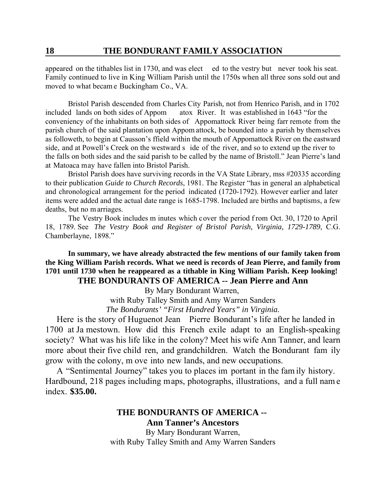appeared on the tithables list in 1730, and was elect ed to the vestry but never took his seat. Family continued to live in King William Parish until the 1750s when all three sons sold out and moved to what becam e Buckingham Co., VA.

Bristol Parish descended from Charles City Parish, not from Henrico Parish, and in 1702 included lands on both sides of Appom atox River. It was established in 1643 "for the conveniency of the inhabitants on both sides of Appomattock River being farr remote from the parish church of the said plantation upon Appom attock, be bounded into a parish by themselves as followeth, to begin at Causson's ffield within the mouth of Appomattock River on the eastward side, and at Powell's Creek on the westward s ide of the river, and so to extend up the river to the falls on both sides and the said parish to be called by the name of Bristoll." Jean Pierre's land at Matoaca may have fallen into Bristol Parish.

Bristol Parish does have surviving records in the VA State Library, mss #20335 according to their publication *Guide to Church Records*, 1981. The Register "has in general an alphabetical and chronological arrangement for the period indicated (1720-1792). However earlier and later items were added and the actual date range is 1685-1798. Included are births and baptisms, a few deaths, but no m arriages.

The Vestry Book includes m inutes which cover the period from Oct. 30, 1720 to April 18, 1789. See *The Vestry Book and Register of Bristol Parish, Virginia, 1729-1789*, C.G. Chamberlayne, 1898."

**In summary, we have already abstracted the few mentions of our family taken from the King William Parish records. What we need is records of Jean Pierre, and family from 1701 until 1730 when he reappeared as a tithable in King William Parish. Keep looking! THE BONDURANTS OF AMERICA -- Jean Pierre and Ann**

By Mary Bondurant Warren,

with Ruby Talley Smith and Amy Warren Sanders *The Bondurants' "First Hundred Years" in Virginia.*

Here is the story of Huguenot Jean Pierre Bondurant's life after he landed in 1700 at Ja mestown. How did this French exile adapt to an English-speaking society? What was his life like in the colony? Meet his wife Ann Tanner, and learn more about their five child ren, and grandchildren. Watch the Bondurant fam ily grow with the colony, m ove into new lands, and new occupations.

A "Sentimental Journey" takes you to places im portant in the fam ily history. Hardbound, 218 pages including maps, photographs, illustrations, and a full nam e index. **\$35.00.** 

### **THE BONDURANTS OF AMERICA -- Ann Tanner's Ancestors** By Mary Bondurant Warren,

with Ruby Talley Smith and Amy Warren Sanders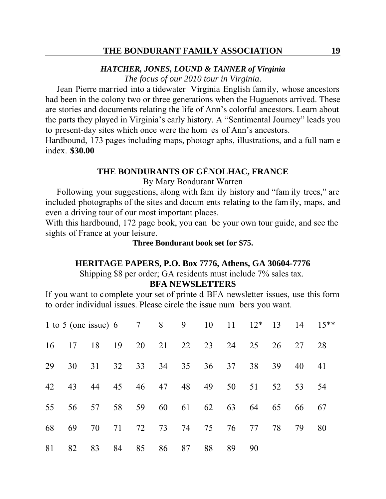### *HATCHER, JONES, LOUND & TANNER of Virginia*

*The focus of our 2010 tour in Virginia*.

Jean Pierre married into a tidewater Virginia English family, whose ancestors had been in the colony two or three generations when the Huguenots arrived. These are stories and documents relating the life of Ann's colorful ancestors. Learn about the parts they played in Virginia's early history. A "Sentimental Journey" leads you to present-day sites which once were the hom es of Ann's ancestors.

Hardbound, 173 pages including maps, photogr aphs, illustrations, and a full nam e index. **\$30.00**

## **THE BONDURANTS OF GÉNOLHAC, FRANCE**

By Mary Bondurant Warren

Following your suggestions, along with fam ily history and "fam ily trees," are included photographs of the sites and docum ents relating to the fam ily, maps, and even a driving tour of our most important places.

With this hardbound, 172 page book, you can be your own tour guide, and see the sights of France at your leisure.

### **Three Bondurant book set for \$75.**

#### **HERITAGE PAPERS, P.O. Box 7776, Athens, GA 30604-7776**

Shipping \$8 per order; GA residents must include 7% sales tax.

### **BFA NEWSLETTERS**

If you want to complete your set of printe d BFA newsletter issues, use this form to order individual issues. Please circle the issue num bers you want.

| 1 to 5 (one issue) 6 7 8 9 10 11 12* 13 14 15** |    |                |             |    |    |    |                         |       |                               |    |    |    |
|-------------------------------------------------|----|----------------|-------------|----|----|----|-------------------------|-------|-------------------------------|----|----|----|
|                                                 |    |                |             |    |    |    |                         |       | 16 17 18 19 20 21 22 23 24 25 | 26 | 27 | 28 |
| 29                                              |    | 30 31 32 33 34 |             |    |    | 35 |                         | 36 37 | 38                            | 39 | 40 | 41 |
| 42                                              |    |                |             |    |    |    |                         |       | 43 44 45 46 47 48 49 50 51    | 52 | 53 | 54 |
| 55                                              |    |                |             |    |    |    | 56 57 58 59 60 61 62 63 |       | 64                            | 65 | 66 | 67 |
| 68                                              | 69 |                | 70 71 72 73 |    |    | 74 | 75                      |       | 76 77                         | 78 | 79 | 80 |
| 81                                              | 82 | 83             | 84          | 85 | 86 | 87 | 88                      | 89    | 90                            |    |    |    |